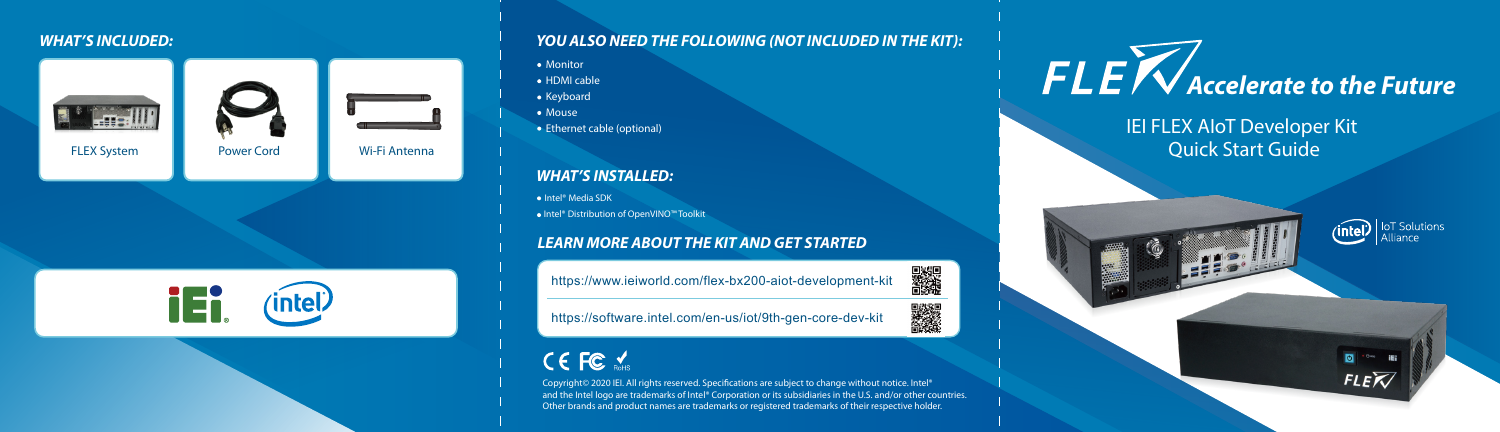https://software.intel.com/en-us/iot/9th-gen-core-dev-kit

# CE FC

# **Accelerate to the Future**

# **IEI FLEX AIoT Developer Kit Quick Start Guide**



FLEX

**(intel)** loT Solutions



https://www.ieiworld.com/flex-bx200-aiot-development-kit





### **WHAT'S INCLUDED:**



# YOU ALSO NEED THE FOLLOWING (NOT INCLUDED IN THE KIT):

- Monitor
- HDMI cable
- Keyboard
- Mouse
- Ethernet cable (optional)

# **WHAT'S INSTALLED:**

- Intel<sup>®</sup> Media SDK
- Intel® Distribution of OpenVINO™ Toolkit

# **LEARN MORE ABOUT THE KIT AND GET STARTED**